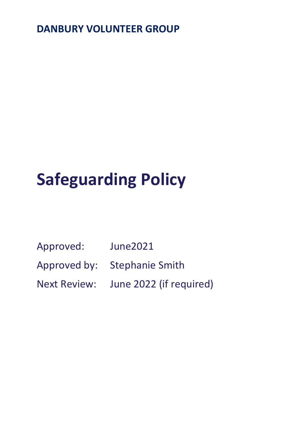# **DANBURY VOLUNTEER GROUP**

# **Safeguarding Policy**

- Approved: June2021
- Approved by: Stephanie Smith
- Next Review: June 2022 (if required)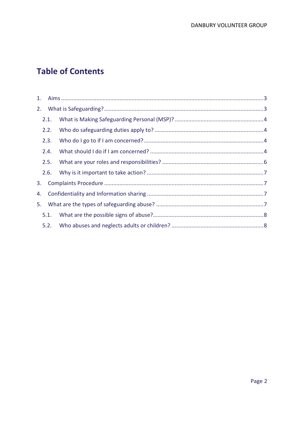# **Table of Contents**

|    | 2.1. |  |
|----|------|--|
|    | 2.2. |  |
|    | 2.3. |  |
|    | 2.4. |  |
|    | 2.5. |  |
|    | 2.6. |  |
| 3. |      |  |
| 4. |      |  |
| 5. |      |  |
|    | 5.1. |  |
|    | 5.2. |  |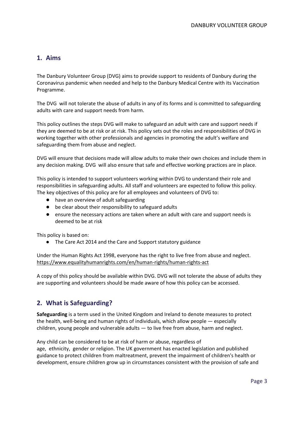# <span id="page-2-0"></span>**1. Aims**

The Danbury Volunteer Group (DVG) aims to provide support to residents of Danbury during the Coronavirus pandemic when needed and help to the Danbury Medical Centre with its Vaccination Programme.

The DVG will not tolerate the abuse of adults in any of its forms and is committed to safeguarding adults with care and support needs from harm.

This policy outlines the steps DVG will make to safeguard an adult with care and support needs if they are deemed to be at risk or at risk. This policy sets out the roles and responsibilities of DVG in working together with other professionals and agencies in promoting the adult's welfare and safeguarding them from abuse and neglect.

DVG will ensure that decisions made will allow adults to make their own choices and include them in any decision making. DVG will also ensure that safe and effective working practices are in place.

This policy is intended to support volunteers working within DVG to understand their role and responsibilities in safeguarding adults. All staff and volunteers are expected to follow this policy. The key objectives of this policy are for all employees and volunteers of DVG to:

- have an overview of adult safeguarding
- be clear about their responsibility to safeguard adults
- ensure the necessary actions are taken where an adult with care and support needs is deemed to be at risk

This policy is based on:

● The Care Act 2014 and the Care and Support statutory guidance

Under the Human Rights Act 1998, everyone has the right to live free from abuse and neglect. <https://www.equalityhumanrights.com/en/human-rights/human-rights-act>

A copy of this policy should be available within DVG. DVG will not tolerate the abuse of adults they are supporting and volunteers should be made aware of how this policy can be accessed.

# <span id="page-2-1"></span>**2. What is Safeguarding?**

**Safeguarding** is a term used in the [United Kingdom](https://en.wikipedia.org/wiki/United_Kingdom) and [Ireland](https://en.wikipedia.org/wiki/Republic_of_Ireland) to denote measures to protect the [health,](https://en.wikipedia.org/wiki/Health) [well-being](https://en.wikipedia.org/wiki/Well-being) and [human rights](https://en.wikipedia.org/wiki/Human_rights) of individuals, which allow people — especially children, [young people](https://en.wikipedia.org/wiki/Youth) and [vulnerable adults](https://en.wikipedia.org/wiki/Vulnerable_adult) — to live free from abuse, harm and neglect.

Any [child](https://en.wikipedia.org/wiki/Child) can be considered to be at risk of harm or abuse, regardless of age, [ethnicity,](https://en.wikipedia.org/wiki/Ethnicity) [gender](https://en.wikipedia.org/wiki/Gender) or [religion.](https://en.wikipedia.org/wiki/Religion) The [UK government](https://en.wikipedia.org/wiki/United_Kingdom_government) has enacted legislation and published guidance to protect children from maltreatment, prevent the impairment of children's health or development, ensure children grow up in circumstances consistent with the provision of safe and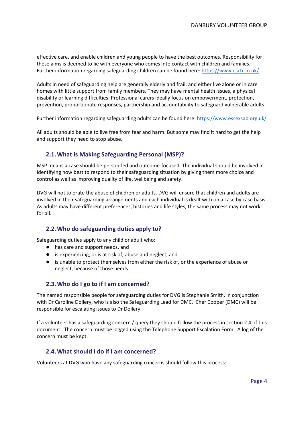effective care, and enable children and young people to have the best outcomes. Responsibility for these aims is deemed to lie with everyone who comes into contact with children and families. Further information regarding safeguarding children can be found here:<https://www.escb.co.uk/>

Adults in need of safeguarding help are generally [elderly](https://en.wikipedia.org/wiki/Old_age) and frail, and either live alone or in [care](https://en.wikipedia.org/wiki/Care_home)  [homes](https://en.wikipedia.org/wiki/Care_home) with little support from family members. They may have [mental health](https://en.wikipedia.org/wiki/Mental_health) issues, a [physical](https://en.wikipedia.org/wiki/Physical_disability)  [disability](https://en.wikipedia.org/wiki/Physical_disability) or [learning difficulties.](https://en.wikipedia.org/wiki/Learning_disability) Professional [carers](https://en.wikipedia.org/wiki/Caregiver) ideally focus on empowerment, protection, prevention, proportionate responses, partnership and accountability to safeguard vulnerable adults.

Further information regarding safeguarding adults can be found here:<https://www.essexsab.org.uk/>

All adults should be able to live free from fear and harm. But some may find it hard to get the help and support they need to stop abuse.

#### <span id="page-3-0"></span>**2.1.What is Making Safeguarding Personal (MSP)?**

MSP means a case should be person-led and outcome-focused. The individual should be involved in identifying how best to respond to their safeguarding situation by giving them more choice and control as well as improving quality of life, wellbeing and safety.

DVG will not tolerate the abuse of children or adults. DVG will ensure that children and adults are involved in their safeguarding arrangements and each individual is dealt with on a case by case basis. As adults may have different preferences, histories and life styles, the same process may not work for all.

#### <span id="page-3-1"></span>**2.2.Who do safeguarding duties apply to?**

Safeguarding duties apply to any child or adult who:

- has care and support needs, and
- is experiencing, or is at risk of, abuse and neglect, and
- is unable to protect themselves from either the risk of, or the experience of abuse or neglect, because of those needs.

#### <span id="page-3-2"></span>**2.3.Who do I go to if I am concerned?**

The named responsible people for safeguarding duties for DVG is Stephanie Smith, in conjunction with Dr Caroline Dollery, who is also the Safeguarding Lead for DMC. Cher Cooper (DMC) will be responsible for escalating issues to Dr Dollery.

If a volunteer has a safeguarding concern / query they should follow the process in section 2.4 of this document. The concern must be logged using the Telephone Support Escalation Form. A log of the concern must be kept.

#### <span id="page-3-3"></span>**2.4.What should I do if I am concerned?**

Volunteers at DVG who have any safeguarding concerns should follow this process: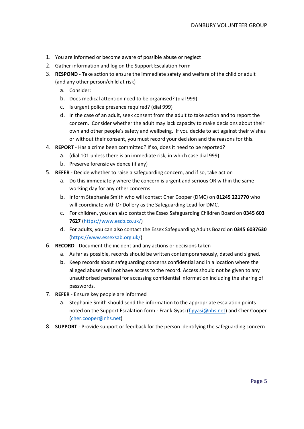- 1. You are informed or become aware of possible abuse or neglect
- 2. Gather information and log on the Support Escalation Form
- 3. **RESPOND** Take action to ensure the immediate safety and welfare of the child or adult (and any other person/child at risk)
	- a. Consider:
	- b. Does medical attention need to be organised? (dial 999)
	- c. Is urgent police presence required? (dial 999)
	- d. In the case of an adult, seek consent from the adult to take action and to report the concern. Consider whether the adult may lack capacity to make decisions about their own and other people's safety and wellbeing. If you decide to act against their wishes or without their consent, you must record your decision and the reasons for this.
- 4. **REPORT** Has a crime been committed? If so, does it need to be reported?
	- a. (dial 101 unless there is an immediate risk, in which case dial 999)
	- b. Preserve forensic evidence (if any)
- 5. **REFER** Decide whether to raise a safeguarding concern, and if so, take action
	- a. Do this immediately where the concern is urgent and serious OR within the same working day for any other concerns
	- b. Inform Stephanie Smith who will contact Cher Cooper (DMC) on **01245 221770** who will coordinate with Dr Dollery as the Safeguarding Lead for DMC.
	- c. For children, you can also contact the Essex Safeguarding Children Board on **0345 603 7627** [\(https://www.escb.co.uk/\)](https://www.escb.co.uk/)
	- d. For adults, you can also contact the Essex Safeguarding Adults Board on **0345 6037630** [\(https://www.essexsab.org.uk/\)](https://www.essexsab.org.uk/)
- 6. **RECORD** Document the incident and any actions or decisions taken
	- a. As far as possible, records should be written contemporaneously, dated and signed.
	- b. Keep records about safeguarding concerns confidential and in a location where the alleged abuser will not have access to the record. Access should not be given to any unauthorised personal for accessing confidential information including the sharing of passwords.
- 7. **REFER** Ensure key people are informed
	- a. Stephanie Smith should send the information to the appropriate escalation points noted on the Support Escalation form - Frank Gyasi [\(f.gyasi@nhs.net\)](mailto:f.gyasi@nhs.net) and Cher Cooper [\(cher.cooper@nhs.net\)](mailto:cher.cooper@nhs.net)
- 8. **SUPPORT** Provide support or feedback for the person identifying the safeguarding concern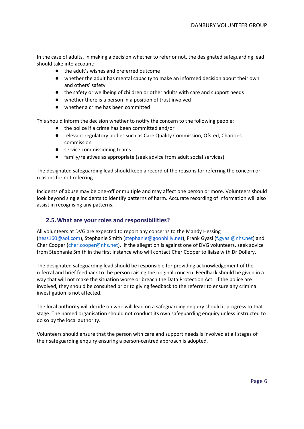In the case of adults, in making a decision whether to refer or not, the designated safeguarding lead should take into account:

- the adult's wishes and preferred outcome
- whether the adult has mental capacity to make an informed decision about their own and others' safety
- the safety or wellbeing of children or other adults with care and support needs
- whether there is a person in a position of trust involved
- whether a crime has been committed

This should inform the decision whether to notify the concern to the following people:

- the police if a crime has been committed and/or
- relevant regulatory bodies such as Care Quality Commission, Ofsted, Charities commission
- service commissioning teams
- family/relatives as appropriate (seek advice from adult social services)

The designated safeguarding lead should keep a record of the reasons for referring the concern or reasons for not referring.

Incidents of abuse may be one-off or multiple and may affect one person or more. Volunteers should look beyond single incidents to identify patterns of harm. Accurate recording of information will also assist in recognising any patterns.

#### <span id="page-5-0"></span>**2.5.What are your roles and responsibilities?**

All volunteers at DVG are expected to report any concerns to the Mandy Hessing [\(hess160@aol.com\)](mailto:hess160@aol.com), Stephanie Smith [\(stephanie@goonhilly.net\)](mailto:stephanie@goonilly.net), Frank Gyasi [\(f.gyasi@nhs.net\)](mailto:f.gyasi@nhs.net) and Cher Cooper [\(cher.cooper@nhs.net\)](mailto:cher.cooper@nhs.net). If the allegation is against one of DVG volunteers, seek advice from Stephanie Smith in the first instance who will contact Cher Cooper to liaise with Dr Dollery.

The designated safeguarding lead should be responsible for providing acknowledgement of the referral and brief feedback to the person raising the original concern. Feedback should be given in a way that will not make the situation worse or breach the Data Protection Act. If the police are involved, they should be consulted prior to giving feedback to the referrer to ensure any criminal investigation is not affected.

The local authority will decide on who will lead on a safeguarding enquiry should it progress to that stage. The named organisation should not conduct its own safeguarding enquiry unless instructed to do so by the local authority.

Volunteers should ensure that the person with care and support needs is involved at all stages of their safeguarding enquiry ensuring a person-centred approach is adopted.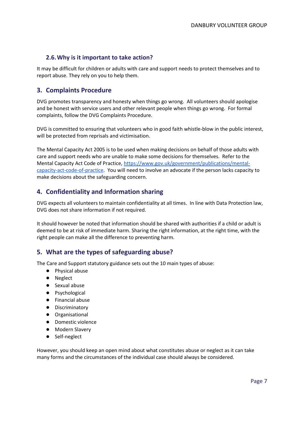## <span id="page-6-0"></span>**2.6.Why is it important to take action?**

It may be difficult for children or adults with care and support needs to protect themselves and to report abuse. They rely on you to help them.

## <span id="page-6-1"></span>**3. Complaints Procedure**

DVG promotes transparency and honesty when things go wrong. All volunteers should apologise and be honest with service users and other relevant people when things go wrong. For formal complaints, follow the DVG Complaints Procedure.

DVG is committed to ensuring that volunteers who in good faith whistle-blow in the public interest, will be protected from reprisals and victimisation.

The Mental Capacity Act 2005 is to be used when making decisions on behalf of those adults with care and support needs who are unable to make some decisions for themselves. Refer to the Mental Capacity Act Code of Practice, [https://www.gov.uk/government/publications/mental](https://www.gov.uk/government/publications/mental-capacity-act-code-of-practice)[capacity-act-code-of-practice.](https://www.gov.uk/government/publications/mental-capacity-act-code-of-practice) You will need to involve an advocate if the person lacks capacity to make decisions about the safeguarding concern.

## <span id="page-6-2"></span>**4. Confidentiality and Information sharing**

DVG expects all volunteers to maintain confidentiality at all times. In line with Data Protection law, DVG does not share information if not required.

It should however be noted that information should be shared with authorities if a child or adult is deemed to be at risk of immediate harm. Sharing the right information, at the right time, with the right people can make all the difference to preventing harm.

#### <span id="page-6-3"></span>**5. What are the types of safeguarding abuse?**

The Care and Support statutory guidance sets out the 10 main types of abuse:

- Physical abuse
- Neglect
- Sexual abuse
- Psychological
- Financial abuse
- Discriminatory
- Organisational
- Domestic violence
- Modern Slavery
- Self-neglect

However, you should keep an open mind about what constitutes abuse or neglect as it can take many forms and the circumstances of the individual case should always be considered.